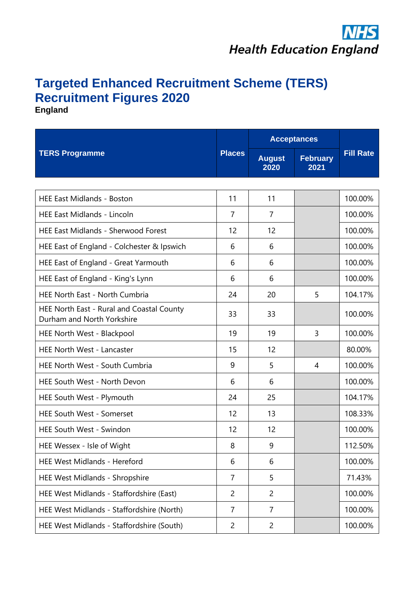## **Targeted Enhanced Recruitment Scheme (TERS) Recruitment Figures 2020**

**England**

| <b>TERS Programme</b>                                                   | <b>Places</b>  | <b>Acceptances</b>    |                         |                  |
|-------------------------------------------------------------------------|----------------|-----------------------|-------------------------|------------------|
|                                                                         |                | <b>August</b><br>2020 | <b>February</b><br>2021 | <b>Fill Rate</b> |
|                                                                         |                |                       |                         |                  |
| <b>HEE East Midlands - Boston</b>                                       | 11             | 11                    |                         | 100.00%          |
| <b>HEE East Midlands - Lincoln</b>                                      | $\overline{7}$ | $\overline{7}$        |                         | 100.00%          |
| <b>HEE East Midlands - Sherwood Forest</b>                              | 12             | 12                    |                         | 100.00%          |
| HEE East of England - Colchester & Ipswich                              | 6              | 6                     |                         | 100.00%          |
| HEE East of England - Great Yarmouth                                    | 6              | 6                     |                         | 100.00%          |
| HEE East of England - King's Lynn                                       | 6              | 6                     |                         | 100.00%          |
| <b>HEE North East - North Cumbria</b>                                   | 24             | 20                    | 5                       | 104.17%          |
| HEE North East - Rural and Coastal County<br>Durham and North Yorkshire | 33             | 33                    |                         | 100.00%          |
| HEE North West - Blackpool                                              | 19             | 19                    | 3                       | 100.00%          |
| HEE North West - Lancaster                                              | 15             | 12                    |                         | 80.00%           |
| HEE North West - South Cumbria                                          | 9              | 5                     | 4                       | 100.00%          |
| HEE South West - North Devon                                            | 6              | 6                     |                         | 100.00%          |
| HEE South West - Plymouth                                               | 24             | 25                    |                         | 104.17%          |
| <b>HEE South West - Somerset</b>                                        | 12             | 13                    |                         | 108.33%          |
| <b>HEE South West - Swindon</b>                                         | 12             | 12                    |                         | 100.00%          |
| HEE Wessex - Isle of Wight                                              | 8              | 9                     |                         | 112.50%          |
| <b>HEE West Midlands - Hereford</b>                                     | 6              | 6                     |                         | 100.00%          |
| HEE West Midlands - Shropshire                                          | $\overline{7}$ | 5                     |                         | 71.43%           |
| HEE West Midlands - Staffordshire (East)                                | $\overline{2}$ | $\overline{c}$        |                         | 100.00%          |
| HEE West Midlands - Staffordshire (North)                               | $\overline{7}$ | $\overline{7}$        |                         | 100.00%          |
| HEE West Midlands - Staffordshire (South)                               | $\overline{c}$ | $\overline{c}$        |                         | 100.00%          |